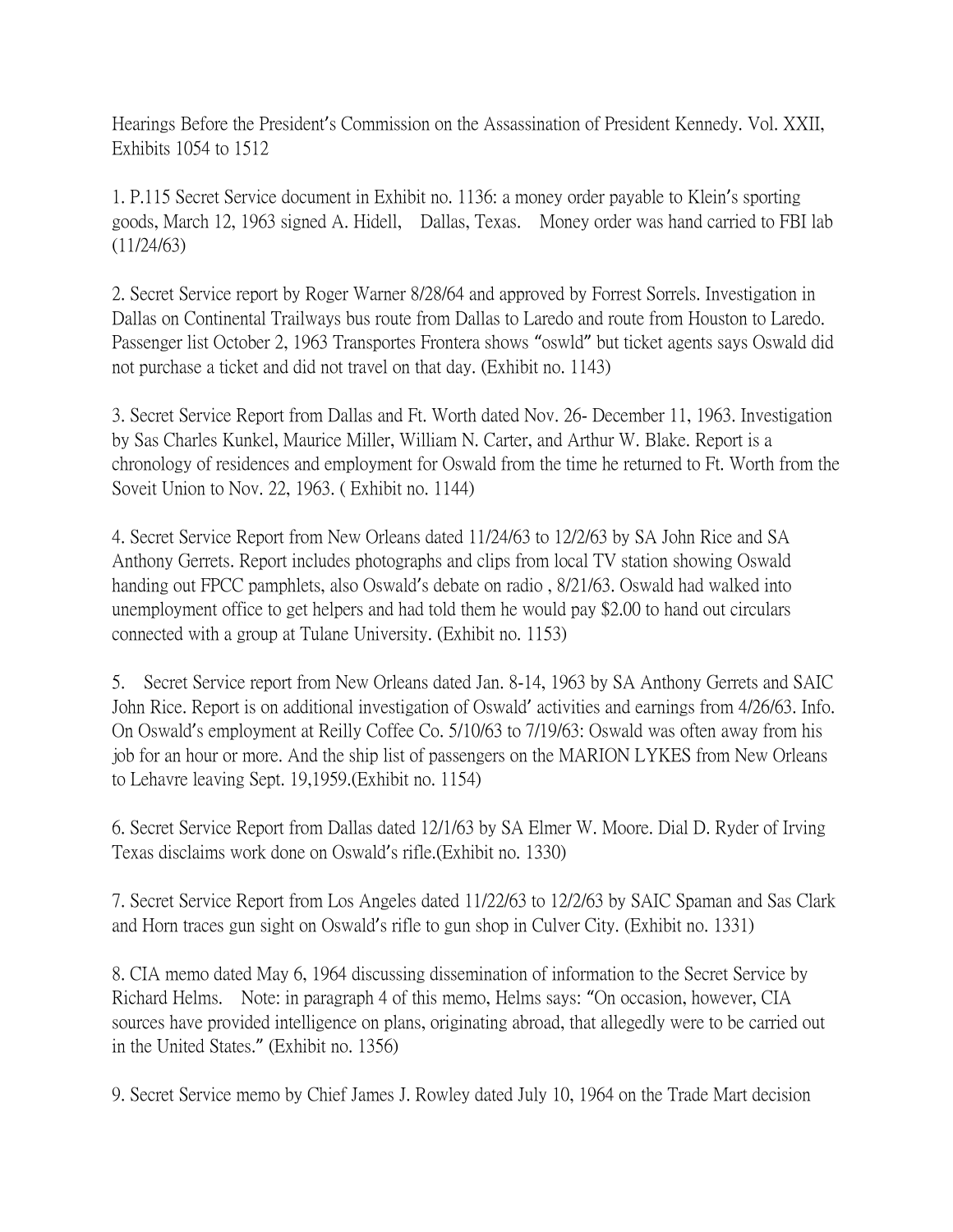Hearings Before the President's Commission on the Assassination of President Kennedy. Vol. XXII, Exhibits 1054 to 1512

1. P.115 Secret Service document in Exhibit no. 1136: a money order payable to Klein's sporting goods, March 12, 1963 signed A. Hidell, Dallas, Texas. Money order was hand carried to FBI lab (11/24/63)

2. Secret Service report by Roger Warner 8/28/64 and approved by Forrest Sorrels. Investigation in Dallas on Continental Trailways bus route from Dallas to Laredo and route from Houston to Laredo. Passenger list October 2, 1963 Transportes Frontera shows "oswld" but ticket agents says Oswald did not purchase a ticket and did not travel on that day. (Exhibit no. 1143)

3. Secret Service Report from Dallas and Ft. Worth dated Nov. 26- December 11, 1963. Investigation by Sas Charles Kunkel, Maurice Miller, William N. Carter, and Arthur W. Blake. Report is a chronology of residences and employment for Oswald from the time he returned to Ft. Worth from the Soveit Union to Nov. 22, 1963. ( Exhibit no. 1144)

4. Secret Service Report from New Orleans dated 11/24/63 to 12/2/63 by SA John Rice and SA Anthony Gerrets. Report includes photographs and clips from local TV station showing Oswald handing out FPCC pamphlets, also Oswald's debate on radio , 8/21/63. Oswald had walked into unemployment office to get helpers and had told them he would pay \$2.00 to hand out circulars connected with a group at Tulane University. (Exhibit no. 1153)

5. Secret Service report from New Orleans dated Jan. 8-14, 1963 by SA Anthony Gerrets and SAIC John Rice. Report is on additional investigation of Oswald' activities and earnings from 4/26/63. Info. On Oswald's employment at Reilly Coffee Co. 5/10/63 to 7/19/63: Oswald was often away from his job for an hour or more. And the ship list of passengers on the MARION LYKES from New Orleans to Lehavre leaving Sept. 19,1959.(Exhibit no. 1154)

6. Secret Service Report from Dallas dated 12/1/63 by SA Elmer W. Moore. Dial D. Ryder of Irving Texas disclaims work done on Oswald's rifle.(Exhibit no. 1330)

7. Secret Service Report from Los Angeles dated 11/22/63 to 12/2/63 by SAIC Spaman and Sas Clark and Horn traces gun sight on Oswald's rifle to gun shop in Culver City. (Exhibit no. 1331)

8. CIA memo dated May 6, 1964 discussing dissemination of information to the Secret Service by Richard Helms. Note: in paragraph 4 of this memo, Helms says: "On occasion, however, CIA sources have provided intelligence on plans, originating abroad, that allegedly were to be carried out in the United States." (Exhibit no. 1356)

9. Secret Service memo by Chief James J. Rowley dated July 10, 1964 on the Trade Mart decision